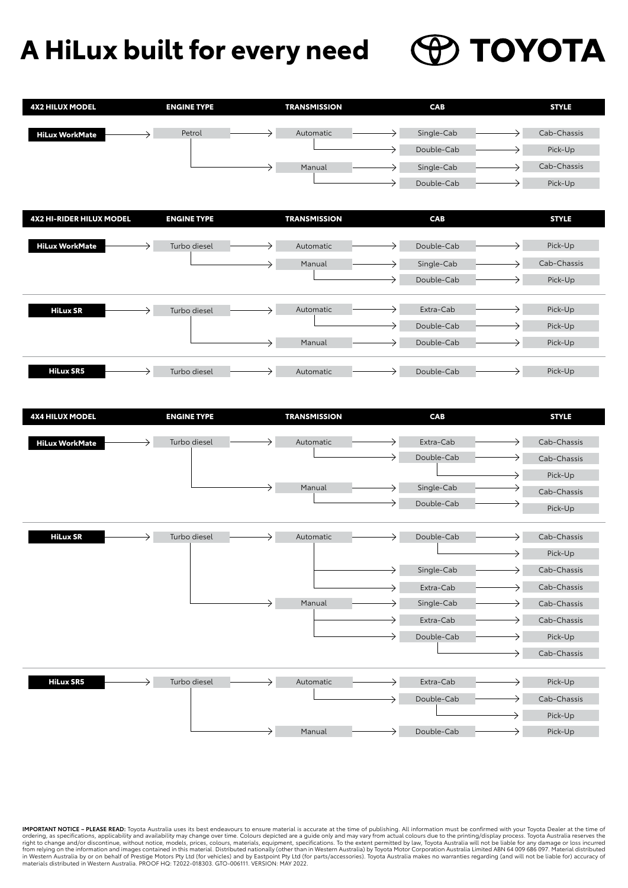## **PO TOYOTA A HiLux built for every need**

| <b>4X2 HILUX MODEL</b>          | <b>ENGINE TYPE</b> | <b>TRANSMISSION</b> | CAB                      | <b>STYLE</b>     |
|---------------------------------|--------------------|---------------------|--------------------------|------------------|
|                                 | Petrol             | Automatic           | Single-Cab               | Cab-Chassis      |
| <b>HiLux WorkMate</b>           |                    |                     | Double-Cab               | Pick-Up<br>→     |
|                                 |                    |                     |                          | Cab-Chassis      |
|                                 |                    | Manual              | Single-Cab<br>Double-Cab | Pick-Up          |
|                                 |                    |                     |                          |                  |
| <b>4X2 HI-RIDER HILUX MODEL</b> | <b>ENGINE TYPE</b> | <b>TRANSMISSION</b> | CAB                      | <b>STYLE</b>     |
|                                 |                    |                     |                          |                  |
| <b>HiLux WorkMate</b>           | Turbo diesel       | Automatic           | Double-Cab               | Pick-Up          |
|                                 |                    | Manual              | Single-Cab               | Cab-Chassis      |
|                                 |                    |                     | Double-Cab               | Pick-Up          |
| <b>HiLux SR</b><br>→            | Turbo diesel       | Automatic<br>→      | Extra-Cab                | Pick-Up          |
|                                 |                    |                     | Double-Cab               | Pick-Up          |
|                                 |                    | Manual<br>→         | Double-Cab               | Pick-Up          |
|                                 |                    |                     |                          |                  |
| <b>HiLux SR5</b>                | Turbo diesel       | Automatic           | Double-Cab               | Pick-Up          |
|                                 |                    |                     |                          |                  |
| <b>4X4 HILUX MODEL</b>          | <b>ENGINE TYPE</b> | <b>TRANSMISSION</b> | CAB                      | <b>STYLE</b>     |
|                                 |                    |                     |                          |                  |
| <b>HiLux WorkMate</b>           | Turbo diesel       | Automatic           | Extra-Cab                | Cab-Chassis      |
|                                 |                    |                     | Double-Cab               | Cab-Chassis      |
|                                 |                    |                     |                          | Pick-Up          |
|                                 |                    | →<br>Manual         | Single-Cab               | Cab-Chassis      |
|                                 |                    |                     | Double-Cab               | Pick-Up          |
| <b>HiLux SR</b><br>→            | Turbo diesel       | Automatic<br>→      | Double-Cab               | Cab-Chassis      |
|                                 |                    |                     |                          | Pick-Up          |
|                                 |                    |                     | Single-Cab               | Cab-Chassis      |
|                                 |                    |                     | Extra-Cab                | Cab-Chassis<br>→ |
|                                 |                    | Manual<br>→         | Single-Cab               | Cab-Chassis<br>→ |
|                                 |                    |                     | Extra-Cab                | Cab-Chassis      |
|                                 |                    |                     | →<br>Double-Cab          | Pick-Up          |
|                                 |                    |                     |                          | Cab-Chassis      |
| <b>HiLux SR5</b>                | Turbo diesel       | Automatic           | Extra-Cab                | Pick-Up<br>→     |
|                                 |                    |                     | Double-Cab<br>→          | Cab-Chassis      |
|                                 |                    |                     |                          | Pick-Up          |
|                                 |                    | Manual<br>→         | Double-Cab<br>→          | Pick-Up<br>→     |

**IMPORTANT NOTICE – PLEASE READ:** Toyota Australia uses its best endeavours to ensure material is accurate at the time of publishing. All information must be confirmed with your Toyota Dealer at the time of ordering, as specifications, applicability and availability may change over time. Colours dae to are a guide only and may vary from actual colours due to the printing/display process. Toyota Australia reserves the right of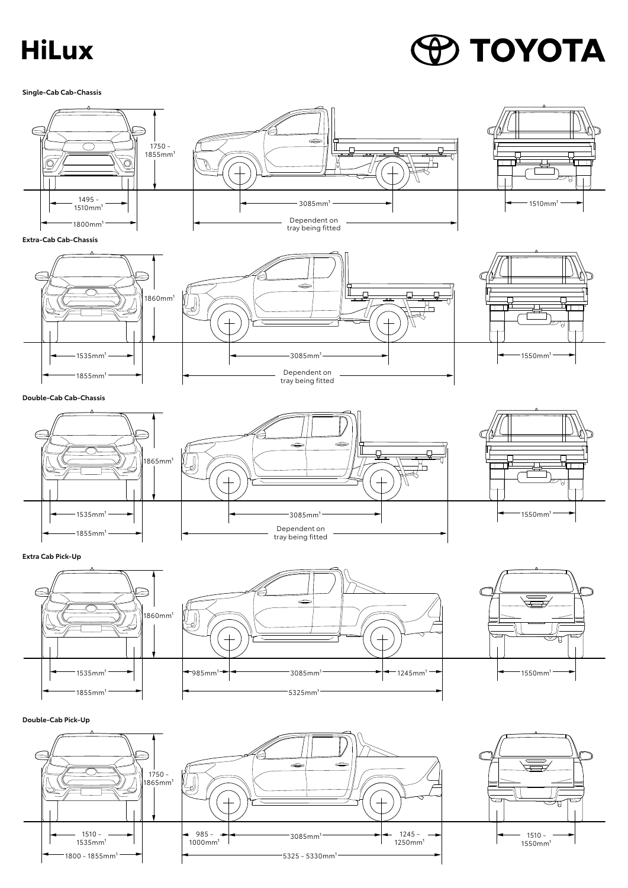## **HiLux**

## **O TOYOTA**

**Single-Cab Cab-Chassis**

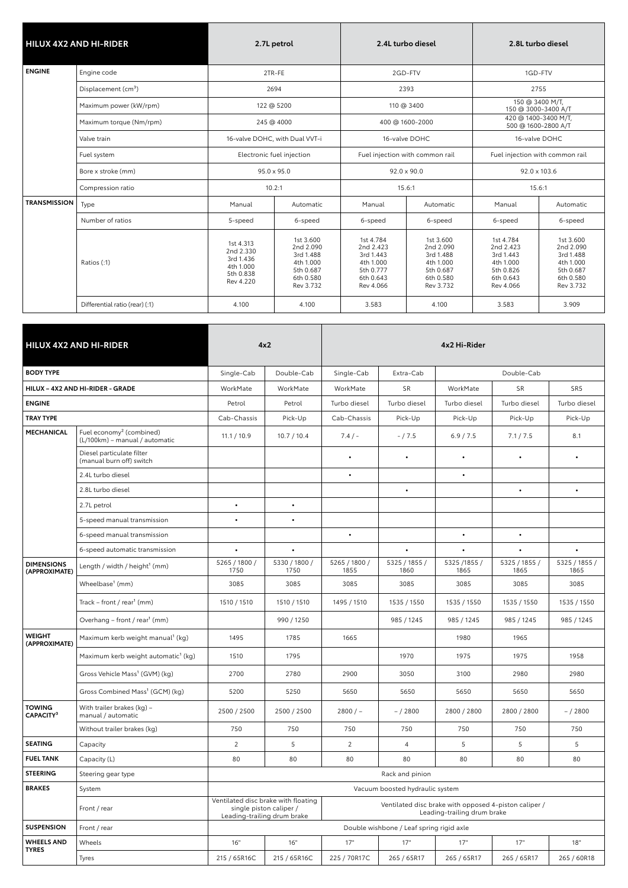|                     | <b>HILUX 4X2 AND HI-RIDER</b>   | 2.7L petrol                                                                |                                                                                         | 2.4L turbo diesel                                                                       |                                                                                         |                                                                                         | 2.8L turbo diesel                                                                       |  |
|---------------------|---------------------------------|----------------------------------------------------------------------------|-----------------------------------------------------------------------------------------|-----------------------------------------------------------------------------------------|-----------------------------------------------------------------------------------------|-----------------------------------------------------------------------------------------|-----------------------------------------------------------------------------------------|--|
| <b>ENGINE</b>       | Engine code                     | 2TR-FE                                                                     |                                                                                         | 2GD-FTV                                                                                 |                                                                                         | 1GD-FTV                                                                                 |                                                                                         |  |
|                     | Displacement (cm <sup>3</sup> ) | 2694                                                                       |                                                                                         | 2393                                                                                    |                                                                                         |                                                                                         | 2755                                                                                    |  |
|                     | Maximum power (kW/rpm)          | 122 @ 5200                                                                 |                                                                                         | 110 @ 3400                                                                              |                                                                                         | 150 @ 3400 M/T,<br>150 @ 3000-3400 A/T                                                  |                                                                                         |  |
|                     | Maximum torque (Nm/rpm)         | 245 @ 4000                                                                 |                                                                                         | 400 @ 1600-2000                                                                         |                                                                                         |                                                                                         | 420 @ 1400-3400 M/T,<br>500 @ 1600-2800 A/T                                             |  |
|                     | Valve train                     | 16-valve DOHC, with Dual VVT-i                                             |                                                                                         | 16-valve DOHC                                                                           |                                                                                         | 16-valve DOHC                                                                           |                                                                                         |  |
|                     | Fuel system                     | Electronic fuel injection                                                  |                                                                                         | Fuel injection with common rail                                                         |                                                                                         | Fuel injection with common rail                                                         |                                                                                         |  |
|                     | Bore x stroke (mm)              | $95.0 \times 95.0$                                                         |                                                                                         | $92.0 \times 90.0$                                                                      |                                                                                         |                                                                                         | 92.0 x 103.6                                                                            |  |
|                     | Compression ratio               | 10.2:1                                                                     |                                                                                         | 15.6:1                                                                                  |                                                                                         | 15.6:1                                                                                  |                                                                                         |  |
| <b>TRANSMISSION</b> | Type                            | Manual                                                                     | Automatic                                                                               | Manual                                                                                  | Automatic                                                                               | Manual                                                                                  | Automatic                                                                               |  |
|                     | Number of ratios                | 5-speed                                                                    | 6-speed                                                                                 | 6-speed                                                                                 | 6-speed                                                                                 | 6-speed                                                                                 | 6-speed                                                                                 |  |
|                     | Ratios (:1)                     | 1st 4.313<br>2nd 2.330<br>3rd 1.436<br>4th 1.000<br>5th 0.838<br>Rev 4.220 | 1st 3.600<br>2nd 2.090<br>3rd 1.488<br>4th 1.000<br>5th 0.687<br>6th 0.580<br>Rev 3.732 | 1st 4.784<br>2nd 2.423<br>3rd 1.443<br>4th 1.000<br>5th 0.777<br>6th 0.643<br>Rev 4.066 | 1st 3.600<br>2nd 2.090<br>3rd 1.488<br>4th 1.000<br>5th 0.687<br>6th 0.580<br>Rev 3.732 | 1st 4.784<br>2nd 2.423<br>3rd 1.443<br>4th 1.000<br>5th 0.826<br>6th 0.643<br>Rev 4.066 | 1st 3.600<br>2nd 2.090<br>3rd 1.488<br>4th 1.000<br>5th 0.687<br>6th 0.580<br>Rev 3.732 |  |
|                     | Differential ratio (rear) (:1)  | 4.100                                                                      | 4.100                                                                                   | 3.583                                                                                   | 4.100                                                                                   | 3.583                                                                                   | 3.909                                                                                   |  |

|                                        | <b>HILUX 4X2 AND HI-RIDER</b>                                          |                       | 4x2                                                                                           | 4x2 Hi-Rider                                                                         |                                          |                      |                       |                       |  |
|----------------------------------------|------------------------------------------------------------------------|-----------------------|-----------------------------------------------------------------------------------------------|--------------------------------------------------------------------------------------|------------------------------------------|----------------------|-----------------------|-----------------------|--|
| <b>BODY TYPE</b>                       |                                                                        | Single-Cab            | Double-Cab                                                                                    | Single-Cab                                                                           | Extra-Cab                                |                      | Double-Cab            |                       |  |
|                                        | HILUX - 4X2 AND HI-RIDER - GRADE                                       | WorkMate              | WorkMate                                                                                      | WorkMate                                                                             | SR                                       | WorkMate             | <b>SR</b>             | SR <sub>5</sub>       |  |
| <b>ENGINE</b>                          |                                                                        | Petrol                | Petrol                                                                                        | Turbo diesel                                                                         | Turbo diesel                             | Turbo diesel         | Turbo diesel          | Turbo diesel          |  |
| <b>TRAY TYPE</b>                       |                                                                        | Cab-Chassis           | Pick-Up                                                                                       | Cab-Chassis                                                                          | Pick-Up                                  | Pick-Up              | Pick-Up               | Pick-Up               |  |
| <b>MECHANICAL</b>                      | Fuel economy <sup>2</sup> (combined)<br>(L/100km) - manual / automatic | 11.1 / 10.9           | 10.7 / 10.4                                                                                   | $7.4/ -$                                                                             | $-/7.5$                                  | 6.9 / 7.5            | 7.1 / 7.5             | 8.1                   |  |
|                                        | Diesel particulate filter<br>(manual burn off) switch                  |                       |                                                                                               |                                                                                      |                                          | $\bullet$            |                       |                       |  |
|                                        | 2.4L turbo diesel                                                      |                       |                                                                                               | $\bullet$                                                                            |                                          | $\bullet$            |                       |                       |  |
|                                        | 2.8L turbo diesel                                                      |                       |                                                                                               |                                                                                      | $\bullet$                                |                      | $\bullet$             | $\bullet$             |  |
|                                        | 2.7L petrol                                                            |                       |                                                                                               |                                                                                      |                                          |                      |                       |                       |  |
|                                        | 5-speed manual transmission                                            |                       | $\bullet$                                                                                     |                                                                                      |                                          |                      |                       |                       |  |
|                                        | 6-speed manual transmission                                            |                       |                                                                                               | $\bullet$                                                                            |                                          | $\bullet$            | $\bullet$             |                       |  |
|                                        | 6-speed automatic transmission                                         | $\bullet$             |                                                                                               |                                                                                      |                                          |                      |                       |                       |  |
| <b>DIMENSIONS</b><br>(APPROXIMATE)     | Length / width / height <sup>1</sup> (mm)                              | 5265 / 1800 /<br>1750 | 5330 / 1800 /<br>1750                                                                         | 5265 / 1800 /<br>1855                                                                | 5325 / 1855 /<br>1860                    | 5325 /1855 /<br>1865 | 5325 / 1855 /<br>1865 | 5325 / 1855 /<br>1865 |  |
|                                        | Wheelbase <sup>1</sup> (mm)                                            | 3085                  | 3085                                                                                          | 3085                                                                                 | 3085                                     | 3085                 | 3085                  | 3085                  |  |
|                                        | Track – front / rear <sup>1</sup> (mm)                                 | 1510 / 1510           | 1510 / 1510                                                                                   | 1495 / 1510                                                                          | 1535 / 1550                              | 1535 / 1550          | 1535 / 1550           | 1535 / 1550           |  |
|                                        | Overhang - front / rear <sup>1</sup> (mm)                              |                       | 990 / 1250                                                                                    |                                                                                      | 985 / 1245                               | 985 / 1245           | 985 / 1245            | 985 / 1245            |  |
| <b>WEIGHT</b><br>(APPROXIMATE)         | Maximum kerb weight manual <sup>1</sup> (kg)                           | 1495                  | 1785                                                                                          | 1665                                                                                 |                                          | 1980                 | 1965                  |                       |  |
|                                        | Maximum kerb weight automatic <sup>1</sup> (kg)                        | 1510                  | 1795                                                                                          |                                                                                      | 1970                                     | 1975                 | 1975                  | 1958                  |  |
|                                        | Gross Vehicle Mass <sup>1</sup> (GVM) (kg)                             | 2700                  | 2780                                                                                          | 2900                                                                                 | 3050                                     | 3100                 | 2980                  | 2980                  |  |
|                                        | Gross Combined Mass <sup>1</sup> (GCM) (kg)                            | 5200                  | 5250                                                                                          | 5650                                                                                 | 5650                                     | 5650                 | 5650                  | 5650                  |  |
| <b>TOWING</b><br>CAPACITY <sup>3</sup> | With trailer brakes (kg) -<br>manual / automatic                       | 2500 / 2500           | 2500 / 2500                                                                                   | $2800 / -$                                                                           | $- / 2800$                               | 2800 / 2800          | 2800 / 2800           | $- / 2800$            |  |
|                                        | Without trailer brakes (kg)                                            | 750                   | 750                                                                                           | 750                                                                                  | 750                                      | 750                  | 750                   | 750                   |  |
| <b>SEATING</b>                         | Capacity                                                               | $\overline{2}$        | 5                                                                                             | $\overline{2}$                                                                       | $\overline{4}$                           | 5                    | 5                     | 5                     |  |
| <b>FUEL TANK</b>                       | Capacity (L)                                                           | 80                    | 80                                                                                            | 80                                                                                   | 80                                       | 80                   | 80                    | 80                    |  |
| <b>STEERING</b>                        | Steering gear type                                                     |                       |                                                                                               |                                                                                      | Rack and pinion                          |                      |                       |                       |  |
| <b>BRAKES</b>                          | System                                                                 |                       |                                                                                               |                                                                                      | Vacuum boosted hydraulic system          |                      |                       |                       |  |
|                                        | Front / rear                                                           |                       | Ventilated disc brake with floating<br>single piston caliper /<br>Leading-trailing drum brake | Ventilated disc brake with opposed 4-piston caliper /<br>Leading-trailing drum brake |                                          |                      |                       |                       |  |
| <b>SUSPENSION</b>                      | Front / rear                                                           |                       |                                                                                               |                                                                                      | Double wishbone / Leaf spring rigid axle |                      |                       |                       |  |
| <b>WHEELS AND</b><br><b>TYRES</b>      | Wheels                                                                 | 16"                   | 16"                                                                                           | 17"                                                                                  | 17"                                      | 17"                  | 17"                   | 18"                   |  |
|                                        | Tyres                                                                  | 215 / 65R16C          | 215 / 65R16C                                                                                  | 225 / 70R17C                                                                         | 265 / 65R17                              | 265 / 65R17          | 265 / 65R17           | 265 / 60R18           |  |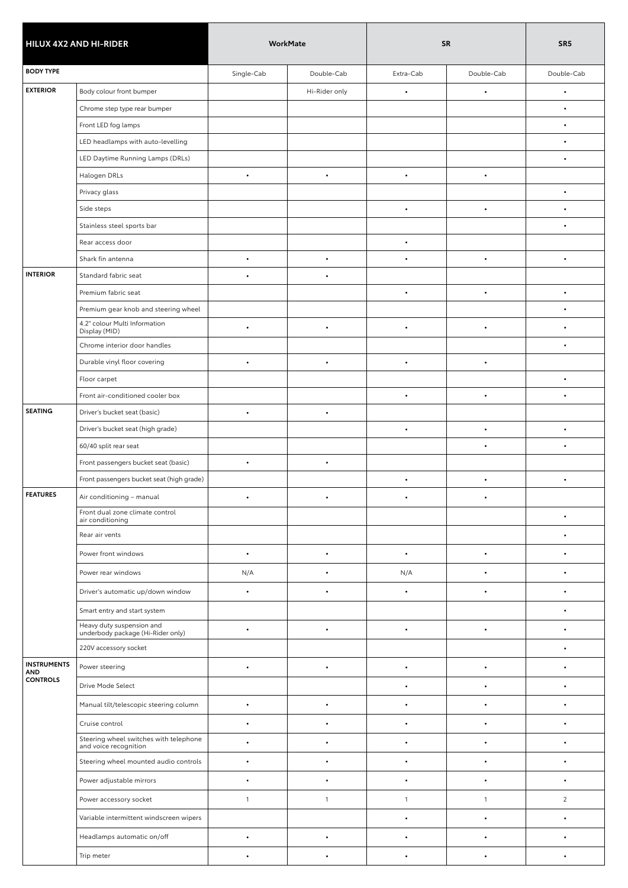| HILUX 4X2 AND HI-RIDER    |                                                                 | WorkMate     |               | <b>SR</b>    | SR <sub>5</sub> |                |
|---------------------------|-----------------------------------------------------------------|--------------|---------------|--------------|-----------------|----------------|
| <b>BODY TYPE</b>          |                                                                 | Single-Cab   | Double-Cab    | Extra-Cab    | Double-Cab      | Double-Cab     |
| <b>EXTERIOR</b>           | Body colour front bumper                                        |              | Hi-Rider only | $\bullet$    | $\bullet$       | $\bullet$      |
|                           | Chrome step type rear bumper                                    |              |               |              |                 |                |
|                           | Front LED fog lamps                                             |              |               |              |                 | $\bullet$      |
|                           | LED headlamps with auto-levelling                               |              |               |              |                 | $\bullet$      |
|                           | LED Daytime Running Lamps (DRLs)                                |              |               |              |                 | ٠              |
|                           | Halogen DRLs                                                    | $\bullet$    | $\bullet$     | $\bullet$    | $\bullet$       |                |
|                           | Privacy glass                                                   |              |               |              |                 | $\bullet$      |
|                           | Side steps                                                      |              |               | $\bullet$    | $\bullet$       | ٠              |
|                           | Stainless steel sports bar                                      |              |               |              |                 | $\bullet$      |
|                           | Rear access door                                                |              |               | $\bullet$    |                 |                |
|                           | Shark fin antenna                                               | $\bullet$    | $\bullet$     | $\bullet$    | $\bullet$       | $\bullet$      |
| <b>INTERIOR</b>           | Standard fabric seat                                            | $\bullet$    | $\bullet$     |              |                 |                |
|                           | Premium fabric seat                                             |              |               | $\bullet$    | $\bullet$       | $\bullet$      |
| <b>SEATING</b>            | Premium gear knob and steering wheel                            |              |               |              |                 | $\bullet$      |
|                           | 4.2" colour Multi Information<br>Display (MID)                  | $\bullet$    | $\bullet$     | $\bullet$    | $\bullet$       | $\bullet$      |
|                           | Chrome interior door handles                                    |              |               |              |                 | $\bullet$      |
|                           | Durable vinyl floor covering                                    | $\bullet$    | $\bullet$     | $\bullet$    | $\bullet$       |                |
|                           | Floor carpet                                                    |              |               |              |                 | $\bullet$      |
|                           | Front air-conditioned cooler box                                |              |               | $\bullet$    | $\bullet$       | $\bullet$      |
|                           | Driver's bucket seat (basic)                                    | $\bullet$    | $\bullet$     |              |                 |                |
|                           | Driver's bucket seat (high grade)                               |              |               | $\bullet$    | $\bullet$       | $\bullet$      |
|                           | 60/40 split rear seat                                           |              |               |              | $\bullet$       | $\bullet$      |
|                           | Front passengers bucket seat (basic)                            | $\bullet$    | $\bullet$     |              |                 |                |
|                           | Front passengers bucket seat (high grade)                       |              |               | $\bullet$    | $\bullet$       | $\bullet$      |
| <b>FEATURES</b>           | Air conditioning - manual                                       | $\bullet$    | $\bullet$     |              |                 |                |
|                           | Front dual zone climate control<br>air conditioning             |              |               |              |                 | $\bullet$      |
|                           | Rear air vents                                                  |              |               |              |                 | $\bullet$      |
|                           | Power front windows                                             | $\bullet$    | $\bullet$     | $\bullet$    | $\bullet$       | $\bullet$      |
|                           | Power rear windows                                              | N/A          | $\bullet$     | N/A          | $\bullet$       | $\bullet$      |
|                           | Driver's automatic up/down window                               | $\bullet$    | $\bullet$     | $\bullet$    | $\bullet$       | $\bullet$      |
|                           | Smart entry and start system                                    |              |               |              |                 | $\bullet$      |
|                           | Heavy duty suspension and                                       | $\bullet$    | $\bullet$     | $\bullet$    | ٠               | $\bullet$      |
|                           | underbody package (Hi-Rider only)<br>220V accessory socket      |              |               |              |                 | ٠              |
| <b>INSTRUMENTS</b><br>AND | Power steering                                                  | $\bullet$    | $\bullet$     | $\bullet$    | $\bullet$       | $\bullet$      |
| <b>CONTROLS</b>           | Drive Mode Select                                               |              |               | $\bullet$    | $\bullet$       | $\bullet$      |
|                           | Manual tilt/telescopic steering column                          | $\bullet$    | $\bullet$     | $\bullet$    | $\bullet$       | $\bullet$      |
|                           | Cruise control                                                  | $\bullet$    | $\bullet$     | $\bullet$    | $\bullet$       | $\bullet$      |
|                           | Steering wheel switches with telephone<br>and voice recognition | $\bullet$    | $\bullet$     |              |                 | $\bullet$      |
|                           | Steering wheel mounted audio controls                           | $\bullet$    | $\bullet$     | ٠            | $\bullet$       | ٠              |
|                           | Power adjustable mirrors                                        | $\bullet$    | $\bullet$     | ٠            |                 | $\bullet$      |
|                           | Power accessory socket                                          | $\mathbf{1}$ | $\mathbf{1}$  | $\mathbf{1}$ | $\mathbf{1}$    | $\overline{c}$ |
|                           | Variable intermittent windscreen wipers                         |              |               | $\bullet$    | $\bullet$       | $\bullet$      |
|                           | Headlamps automatic on/off                                      | $\bullet$    | $\bullet$     | $\bullet$    | $\bullet$       | $\bullet$      |
|                           | Trip meter                                                      | $\bullet$    | $\bullet$     | $\bullet$    | $\bullet$       | $\bullet$      |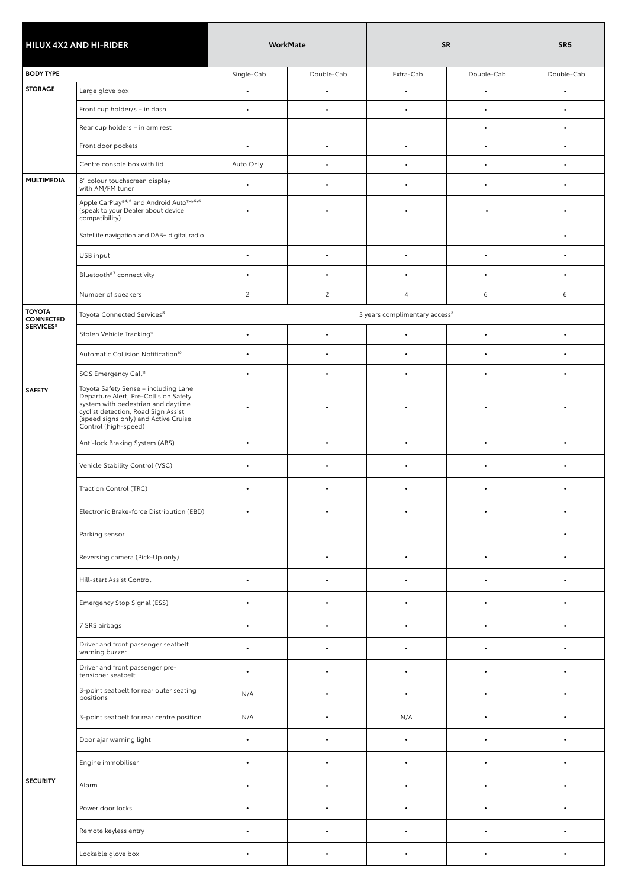|                                                                                   |                                                                                                                                                                                                                            | WorkMate   |                |                                                                                                                                                                                                                                                                                                                                        |            | SR <sub>5</sub> |
|-----------------------------------------------------------------------------------|----------------------------------------------------------------------------------------------------------------------------------------------------------------------------------------------------------------------------|------------|----------------|----------------------------------------------------------------------------------------------------------------------------------------------------------------------------------------------------------------------------------------------------------------------------------------------------------------------------------------|------------|-----------------|
| <b>BODY TYPE</b>                                                                  |                                                                                                                                                                                                                            | Single-Cab | Double-Cab     | Extra-Cab                                                                                                                                                                                                                                                                                                                              | Double-Cab | Double-Cab      |
| <b>STORAGE</b>                                                                    | Large glove box                                                                                                                                                                                                            | $\bullet$  | $\bullet$      | $\bullet$                                                                                                                                                                                                                                                                                                                              | $\bullet$  | $\bullet$       |
|                                                                                   | Front cup holder/s - in dash                                                                                                                                                                                               | $\bullet$  | $\bullet$      | $\bullet$                                                                                                                                                                                                                                                                                                                              | $\bullet$  | $\bullet$       |
|                                                                                   | Rear cup holders - in arm rest                                                                                                                                                                                             |            |                |                                                                                                                                                                                                                                                                                                                                        | $\bullet$  | $\bullet$       |
|                                                                                   | Front door pockets                                                                                                                                                                                                         | $\bullet$  | $\bullet$      | $\bullet$                                                                                                                                                                                                                                                                                                                              | $\bullet$  | $\bullet$       |
|                                                                                   | Centre console box with lid                                                                                                                                                                                                | Auto Only  | $\bullet$      |                                                                                                                                                                                                                                                                                                                                        |            | $\bullet$       |
| <b>MULTIMEDIA</b>                                                                 | 8" colour touchscreen display<br>with AM/FM tuner                                                                                                                                                                          | $\bullet$  | $\bullet$      |                                                                                                                                                                                                                                                                                                                                        | $\bullet$  | $\bullet$       |
|                                                                                   | Apple CarPlay® <sup>4,6</sup> and Android Auto™,5,6<br>(speak to your Dealer about device<br>compatibility)                                                                                                                | $\bullet$  |                |                                                                                                                                                                                                                                                                                                                                        | $\bullet$  | $\bullet$       |
| <b>TOYOTA</b><br><b>CONNECTED</b><br><b>SERVICES<sup>8</sup></b><br><b>SAFETY</b> | Satellite navigation and DAB+ digital radio                                                                                                                                                                                |            |                |                                                                                                                                                                                                                                                                                                                                        |            | $\bullet$       |
|                                                                                   | USB input                                                                                                                                                                                                                  | $\bullet$  | $\bullet$      | $\bullet$                                                                                                                                                                                                                                                                                                                              | $\bullet$  | $\bullet$       |
|                                                                                   | Bluetooth®7 connectivity                                                                                                                                                                                                   | $\bullet$  | $\bullet$      | $\bullet$                                                                                                                                                                                                                                                                                                                              | $\bullet$  | $\bullet$       |
|                                                                                   | Number of speakers                                                                                                                                                                                                         | 2          | $\overline{2}$ | $\overline{4}$                                                                                                                                                                                                                                                                                                                         | 6          | 6               |
|                                                                                   | Toyota Connected Services <sup>8</sup>                                                                                                                                                                                     |            |                | <b>SR</b><br>3 years complimentary access <sup>8</sup><br>$\bullet$<br>٠<br>$\bullet$<br>$\bullet$<br>$\bullet$<br>$\bullet$<br>$\bullet$<br>$\bullet$<br>$\bullet$<br>$\bullet$<br>$\bullet$<br>$\bullet$<br>$\bullet$<br>$\bullet$<br>$\bullet$<br>$\bullet$<br>$\bullet$<br>$\bullet$<br>$\bullet$<br>$\bullet$<br>N/A<br>$\bullet$ |            |                 |
| <b>HILUX 4X2 AND HI-RIDER</b><br><b>SECURITY</b><br>Alarm                         | Stolen Vehicle Tracking <sup>9</sup>                                                                                                                                                                                       | $\bullet$  | $\bullet$      |                                                                                                                                                                                                                                                                                                                                        |            | $\bullet$       |
|                                                                                   | Automatic Collision Notification <sup>10</sup>                                                                                                                                                                             | $\bullet$  | $\bullet$      |                                                                                                                                                                                                                                                                                                                                        |            | $\bullet$       |
|                                                                                   | SOS Emergency Call <sup>11</sup>                                                                                                                                                                                           | $\bullet$  | $\bullet$      |                                                                                                                                                                                                                                                                                                                                        |            | $\bullet$       |
|                                                                                   | Toyota Safety Sense - including Lane<br>Departure Alert, Pre-Collision Safety<br>system with pedestrian and daytime<br>cyclist detection, Road Sign Assist<br>(speed signs only) and Active Cruise<br>Control (high-speed) |            |                |                                                                                                                                                                                                                                                                                                                                        |            |                 |
|                                                                                   | Anti-lock Braking System (ABS)                                                                                                                                                                                             | $\bullet$  | $\bullet$      |                                                                                                                                                                                                                                                                                                                                        |            | $\bullet$       |
|                                                                                   | Vehicle Stability Control (VSC)                                                                                                                                                                                            |            |                |                                                                                                                                                                                                                                                                                                                                        |            | $\bullet$       |
|                                                                                   | Traction Control (TRC)                                                                                                                                                                                                     |            |                |                                                                                                                                                                                                                                                                                                                                        |            | ٠               |
|                                                                                   | Electronic Brake-force Distribution (EBD)                                                                                                                                                                                  |            |                |                                                                                                                                                                                                                                                                                                                                        |            | $\bullet$       |
|                                                                                   | Parking sensor                                                                                                                                                                                                             |            |                |                                                                                                                                                                                                                                                                                                                                        |            | $\bullet$       |
|                                                                                   | Reversing camera (Pick-Up only)                                                                                                                                                                                            |            | $\bullet$      |                                                                                                                                                                                                                                                                                                                                        |            | $\bullet$       |
|                                                                                   | Hill-start Assist Control                                                                                                                                                                                                  | $\bullet$  | $\bullet$      |                                                                                                                                                                                                                                                                                                                                        |            | $\bullet$       |
|                                                                                   | Emergency Stop Signal (ESS)                                                                                                                                                                                                | $\bullet$  | $\bullet$      |                                                                                                                                                                                                                                                                                                                                        |            | $\bullet$       |
|                                                                                   | 7 SRS airbags                                                                                                                                                                                                              | $\bullet$  | $\bullet$      |                                                                                                                                                                                                                                                                                                                                        |            | $\bullet$       |
|                                                                                   | Driver and front passenger seatbelt<br>warning buzzer                                                                                                                                                                      | $\bullet$  | $\bullet$      |                                                                                                                                                                                                                                                                                                                                        |            | $\bullet$       |
|                                                                                   | Driver and front passenger pre-<br>tensioner seatbelt                                                                                                                                                                      | $\bullet$  | $\bullet$      |                                                                                                                                                                                                                                                                                                                                        |            | $\bullet$       |
|                                                                                   | 3-point seatbelt for rear outer seating<br>positions                                                                                                                                                                       | N/A        | $\bullet$      |                                                                                                                                                                                                                                                                                                                                        |            | $\bullet$       |
|                                                                                   | 3-point seatbelt for rear centre position                                                                                                                                                                                  | N/A        | $\bullet$      |                                                                                                                                                                                                                                                                                                                                        |            | $\bullet$       |
|                                                                                   | Door ajar warning light                                                                                                                                                                                                    | $\bullet$  |                |                                                                                                                                                                                                                                                                                                                                        | ٠          | $\bullet$       |
|                                                                                   | Engine immobiliser                                                                                                                                                                                                         | $\bullet$  | $\bullet$      | $\bullet$                                                                                                                                                                                                                                                                                                                              | $\bullet$  | $\bullet$       |
|                                                                                   |                                                                                                                                                                                                                            | $\bullet$  | $\bullet$      | $\bullet$                                                                                                                                                                                                                                                                                                                              | $\bullet$  | $\bullet$       |
|                                                                                   | Power door locks                                                                                                                                                                                                           | $\bullet$  | $\bullet$      | ٠                                                                                                                                                                                                                                                                                                                                      | $\bullet$  | $\bullet$       |
|                                                                                   | Remote keyless entry                                                                                                                                                                                                       | $\bullet$  | $\bullet$      | $\bullet$                                                                                                                                                                                                                                                                                                                              | $\bullet$  | $\bullet$       |
|                                                                                   | Lockable glove box                                                                                                                                                                                                         | $\bullet$  | $\bullet$      | ٠                                                                                                                                                                                                                                                                                                                                      | ٠          | $\bullet$       |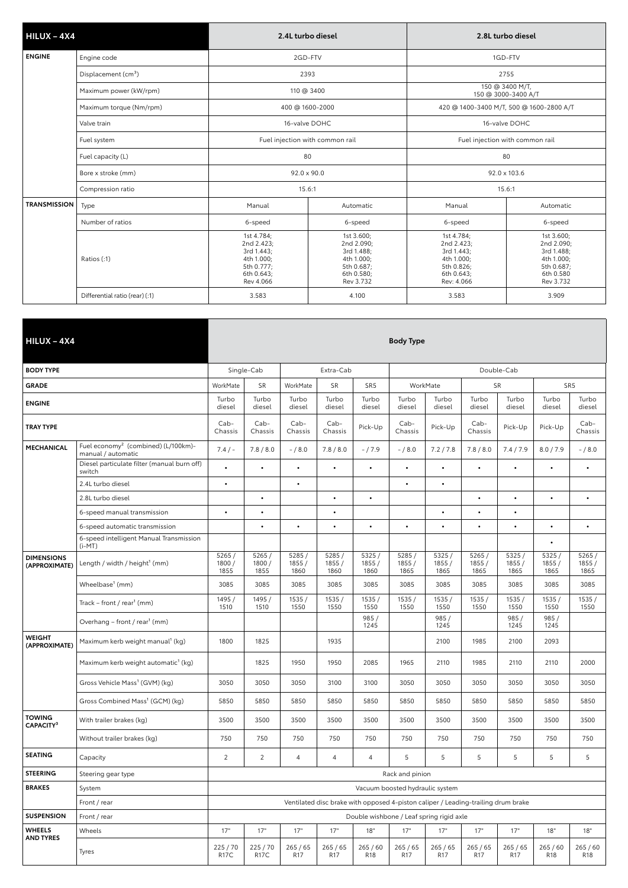| $HILUX - 4X4$       |                                 | 2.4L turbo diesel                                                                             |               | 2.8L turbo diesel                                                                              |                                                                                              |  |  |
|---------------------|---------------------------------|-----------------------------------------------------------------------------------------------|---------------|------------------------------------------------------------------------------------------------|----------------------------------------------------------------------------------------------|--|--|
| <b>ENGINE</b>       | Engine code                     | 2GD-FTV                                                                                       |               |                                                                                                | 1GD-FTV                                                                                      |  |  |
|                     | Displacement (cm <sup>3</sup> ) | 2393                                                                                          |               |                                                                                                | 2755                                                                                         |  |  |
|                     | Maximum power (kW/rpm)          | 110 @ 3400                                                                                    |               | 150 @ 3400 M/T,<br>150 @ 3000-3400 A/T                                                         |                                                                                              |  |  |
|                     | Maximum torque (Nm/rpm)         | 400 @ 1600-2000                                                                               |               |                                                                                                | 420 @ 1400-3400 M/T, 500 @ 1600-2800 A/T                                                     |  |  |
|                     | Valve train                     |                                                                                               | 16-valve DOHC |                                                                                                | 16-valve DOHC                                                                                |  |  |
|                     | Fuel system                     | Fuel injection with common rail                                                               |               | Fuel injection with common rail                                                                |                                                                                              |  |  |
|                     | Fuel capacity (L)               | 80                                                                                            |               |                                                                                                | 80                                                                                           |  |  |
|                     | Bore x stroke (mm)              | $92.0 \times 90.0$                                                                            |               |                                                                                                | 92.0 x 103.6                                                                                 |  |  |
|                     | Compression ratio               | 15.6:1                                                                                        |               | 15.6:1                                                                                         |                                                                                              |  |  |
| <b>TRANSMISSION</b> | Type                            | Manual                                                                                        | Automatic     | Manual                                                                                         | Automatic                                                                                    |  |  |
|                     | Number of ratios                | 6-speed                                                                                       | 6-speed       | 6-speed                                                                                        | 6-speed                                                                                      |  |  |
|                     | Ratios (:1)                     | 1st 4.784;<br>2nd 2.423;<br>3rd 1.443;<br>4th 1.000;<br>5th 0.777;<br>6th 0.643;<br>Rev 4.066 |               | 1st 4.784;<br>2nd 2.423;<br>3rd 1.443;<br>4th 1.000;<br>5th 0.826;<br>6th 0.643;<br>Rev: 4.066 | 1st 3.600;<br>2nd 2.090;<br>3rd 1.488;<br>4th 1.000;<br>5th 0.687;<br>6th 0.580<br>Rev 3.732 |  |  |
|                     | Differential ratio (rear) (:1)  | 3.583                                                                                         | 4.100         | 3.583                                                                                          | 3.909                                                                                        |  |  |

| $HILUX - 4X4$                          |                                                                       | <b>Body Type</b>        |                         |                         |                         |                                                                                   |                                 |                                                  |                         |                         |                         |                        |
|----------------------------------------|-----------------------------------------------------------------------|-------------------------|-------------------------|-------------------------|-------------------------|-----------------------------------------------------------------------------------|---------------------------------|--------------------------------------------------|-------------------------|-------------------------|-------------------------|------------------------|
| <b>BODY TYPE</b>                       |                                                                       |                         | Single-Cab              |                         | Extra-Cab               |                                                                                   |                                 |                                                  |                         | Double-Cab              |                         |                        |
| <b>GRADE</b>                           |                                                                       | WorkMate                | SR                      | WorkMate                |                         | SR <sub>5</sub>                                                                   |                                 | WorkMate                                         | <b>SR</b>               |                         |                         | SR <sub>5</sub>        |
| <b>ENGINE</b>                          |                                                                       | Turbo<br>diesel         | Turbo<br>diesel         | Turbo<br>diesel         | Turbo<br>diesel         | Turbo<br>diesel                                                                   | Turbo<br>diesel                 | Turbo<br>diesel                                  | Turbo<br>diesel         | Turbo<br>diesel         | Turbo<br>diesel         | Turbo<br>diesel        |
| <b>TRAY TYPE</b>                       |                                                                       | $Cab-$<br>Chassis       | $Cab-$<br>Chassis       | $Cab -$<br>Chassis      | Cab-<br>Chassis         | Pick-Up                                                                           | Cab-<br>Chassis                 | Cab-<br>Pick-Up<br>Pick-Up<br>Pick-Up<br>Chassis |                         |                         | Cab-<br>Chassis         |                        |
| MECHANICAL                             | Fuel economy <sup>2</sup> (combined) (L/100km)-<br>manual / automatic | 7.4/                    | 7.8 / 8.0               | $- / 8.0$               | 7.8 / 8.0               | $-/7.9$                                                                           | $- / 8.0$                       | 7.2 / 7.8                                        | 7.8 / 8.0               | 7.4 / 7.9               | 8.0 / 7.9               | $- / 8.0$              |
|                                        | Diesel particulate filter (manual burn off)<br>switch                 | $\bullet$               | $\bullet$               | $\bullet$               | $\bullet$               | $\bullet$                                                                         | $\bullet$                       |                                                  | $\bullet$               | $\bullet$               | $\bullet$               | $\bullet$              |
|                                        | 2.4L turbo diesel                                                     | $\bullet$               |                         | $\bullet$               |                         |                                                                                   | $\bullet$                       | $\bullet$                                        |                         |                         |                         |                        |
|                                        | 2.8L turbo diesel                                                     |                         | $\bullet$               |                         | $\bullet$               | $\bullet$                                                                         |                                 |                                                  | $\bullet$               | $\bullet$               | $\bullet$               | $\bullet$              |
|                                        | 6-speed manual transmission                                           | $\bullet$               | $\bullet$               |                         | $\bullet$               |                                                                                   |                                 | $\bullet$                                        | $\bullet$               | $\bullet$               |                         |                        |
|                                        | 6-speed automatic transmission                                        |                         | $\bullet$               | $\bullet$               | $\bullet$               | $\bullet$                                                                         | $\bullet$                       | $\bullet$                                        | $\bullet$               | $\bullet$               | $\bullet$               | $\bullet$              |
|                                        | 6-speed intelligent Manual Transmission<br>$(i-MT)$                   |                         |                         |                         |                         |                                                                                   |                                 |                                                  |                         |                         | $\bullet$               |                        |
| <b>DIMENSIONS</b><br>(APPROXIMATE)     | Length / width / height <sup>1</sup> (mm)                             | 5265/<br>1800/<br>1855  | 5265/<br>1800 /<br>1855 | 5285/<br>1855 /<br>1860 | 5285/<br>1855 /<br>1860 | 5325/<br>1855/<br>1860                                                            | 5285/<br>1855 /<br>1865         | 5325/<br>1855/<br>1865                           | 5265/<br>1855 /<br>1865 | 5325/<br>1855 /<br>1865 | 5325/<br>1855 /<br>1865 | 5265/<br>1855/<br>1865 |
|                                        | Wheelbase <sup>1</sup> (mm)                                           | 3085                    | 3085                    | 3085                    | 3085                    | 3085                                                                              | 3085                            | 3085                                             | 3085                    | 3085                    | 3085                    | 3085                   |
|                                        | Track – front / rear <sup>1</sup> (mm)                                | 1495 /<br>1510          | 1495 /<br>1510          | 1535/<br>1550           | 1535/<br>1550           | 1535/<br>1550                                                                     | 1535/<br>1550                   | 1535/<br>1550                                    | 1535/<br>1550           | 1535/<br>1550           | 1535/<br>1550           | 1535/<br>1550          |
|                                        | Overhang – front / rear <sup>1</sup> (mm)                             |                         |                         |                         |                         | 985/<br>1245                                                                      |                                 | 985/<br>1245                                     |                         | 985/<br>1245            | 985/<br>1245            |                        |
| <b>WEIGHT</b><br>(APPROXIMATE)         | Maximum kerb weight manual <sup>1</sup> (kg)                          | 1800                    | 1825                    |                         | 1935                    |                                                                                   |                                 | 2100                                             | 1985                    | 2100                    | 2093                    |                        |
|                                        | Maximum kerb weight automatic <sup>1</sup> (kg)                       |                         | 1825                    | 1950                    | 1950                    | 2085                                                                              | 1965                            | 2110                                             | 1985                    | 2110                    | 2110                    | 2000                   |
|                                        | Gross Vehicle Mass <sup>1</sup> (GVM) (kg)                            | 3050                    | 3050                    | 3050                    | 3100                    | 3100                                                                              | 3050                            | 3050                                             | 3050                    | 3050                    | 3050                    | 3050                   |
|                                        | Gross Combined Mass <sup>1</sup> (GCM) (kg)                           | 5850                    | 5850                    | 5850                    | 5850                    | 5850                                                                              | 5850                            | 5850                                             | 5850                    | 5850                    | 5850                    | 5850                   |
| <b>TOWING</b><br>CAPACITY <sup>3</sup> | With trailer brakes (kg)                                              | 3500                    | 3500                    | 3500                    | 3500                    | 3500                                                                              | 3500                            | 3500                                             | 3500                    | 3500                    | 3500                    | 3500                   |
|                                        | Without trailer brakes (kg)                                           | 750                     | 750                     | 750                     | 750                     | 750                                                                               | 750                             | 750                                              | 750                     | 750                     | 750                     | 750                    |
| <b>SEATING</b>                         | Capacity                                                              | $\overline{2}$          | $\overline{2}$          | 4                       | $\overline{4}$          | $\overline{4}$                                                                    | 5                               | 5                                                | 5                       | 5                       | 5                       | 5                      |
| <b>STEERING</b>                        | Steering gear type                                                    |                         |                         |                         |                         |                                                                                   | Rack and pinion                 |                                                  |                         |                         |                         |                        |
| <b>BRAKES</b>                          | System                                                                |                         |                         |                         |                         |                                                                                   | Vacuum boosted hydraulic system |                                                  |                         |                         |                         |                        |
|                                        | Front / rear                                                          |                         |                         |                         |                         | Ventilated disc brake with opposed 4-piston caliper / Leading-trailing drum brake |                                 |                                                  |                         |                         |                         |                        |
| <b>SUSPENSION</b>                      | Front / rear                                                          |                         |                         |                         |                         | Double wishbone / Leaf spring rigid axle                                          |                                 |                                                  |                         |                         |                         |                        |
| <b>WHEELS</b><br><b>AND TYRES</b>      | Wheels                                                                | 17"                     | 17"                     | 17"                     | 17"                     | 18"                                                                               | 17"                             | 17"                                              | 17"                     | 17"                     | 18"                     | 18"                    |
|                                        | Tyres                                                                 | 225 / 70<br><b>R17C</b> | 225 / 70<br><b>R17C</b> | 265/65<br>R17           | 265/65<br>R17           | 265/60<br>R <sub>18</sub>                                                         | 265/65<br>R <sub>17</sub>       | 265/65<br>R17                                    | 265/65<br><b>R17</b>    | 265/65<br>R17           | 265/60<br>R18           | 265/60<br>R18          |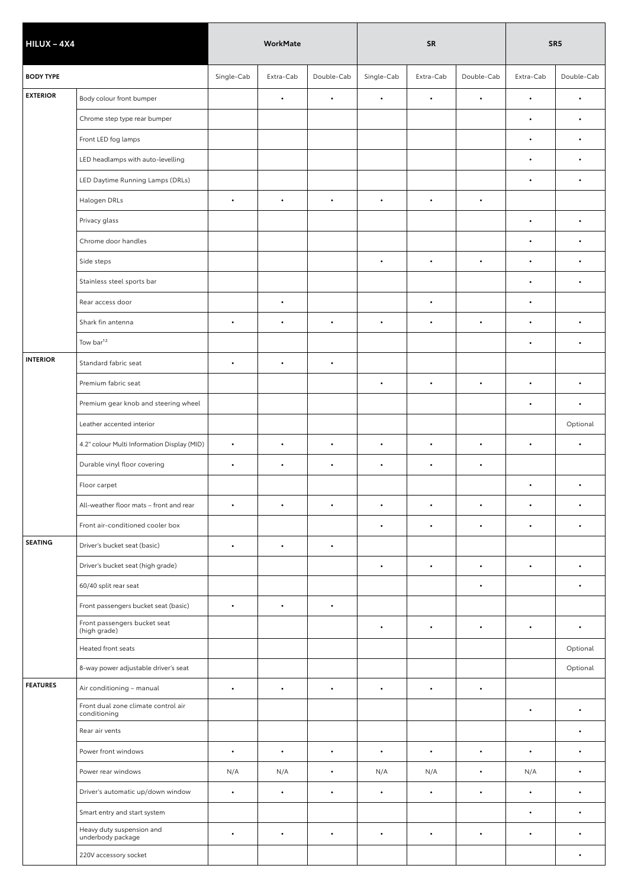| $HILUX - 4X4$    |                                                     | <b>WorkMate</b> |           |            |            | <b>SR</b> | SR <sub>5</sub> |           |            |
|------------------|-----------------------------------------------------|-----------------|-----------|------------|------------|-----------|-----------------|-----------|------------|
| <b>BODY TYPE</b> |                                                     | Single-Cab      | Extra-Cab | Double-Cab | Single-Cab | Extra-Cab | Double-Cab      | Extra-Cab | Double-Cab |
| <b>EXTERIOR</b>  | Body colour front bumper                            |                 | $\bullet$ | $\bullet$  | $\bullet$  | $\bullet$ | $\bullet$       | $\bullet$ | $\bullet$  |
|                  | Chrome step type rear bumper                        |                 |           |            |            |           |                 | $\bullet$ | $\bullet$  |
|                  | Front LED fog lamps                                 |                 |           |            |            |           |                 | $\bullet$ | $\bullet$  |
|                  | LED headlamps with auto-levelling                   |                 |           |            |            |           |                 | $\bullet$ | $\bullet$  |
|                  | LED Daytime Running Lamps (DRLs)                    |                 |           |            |            |           |                 | $\bullet$ | $\bullet$  |
|                  | Halogen DRLs                                        | $\bullet$       | $\bullet$ | $\bullet$  | $\bullet$  | $\bullet$ | $\bullet$       |           |            |
|                  | Privacy glass                                       |                 |           |            |            |           |                 | $\bullet$ | $\bullet$  |
|                  | Chrome door handles                                 |                 |           |            |            |           |                 | $\bullet$ | $\bullet$  |
|                  | Side steps                                          |                 |           |            | $\bullet$  | $\bullet$ | $\bullet$       | $\bullet$ | $\bullet$  |
|                  | Stainless steel sports bar                          |                 |           |            |            |           |                 | $\bullet$ | $\bullet$  |
|                  | Rear access door                                    |                 | $\bullet$ |            |            | $\bullet$ |                 | $\bullet$ |            |
|                  | Shark fin antenna                                   | $\bullet$       | $\bullet$ | $\bullet$  | $\bullet$  | $\bullet$ | $\bullet$       | $\bullet$ | $\bullet$  |
|                  | Tow bar <sup>12</sup>                               |                 |           |            |            |           |                 | $\bullet$ | $\bullet$  |
| <b>INTERIOR</b>  | Standard fabric seat                                | $\bullet$       | $\bullet$ | $\bullet$  |            |           |                 |           |            |
|                  | Premium fabric seat                                 |                 |           |            | $\bullet$  | $\bullet$ | $\bullet$       | $\bullet$ | $\bullet$  |
|                  | Premium gear knob and steering wheel                |                 |           |            |            |           |                 | $\bullet$ | $\bullet$  |
|                  | Leather accented interior                           |                 |           |            |            |           |                 |           | Optional   |
|                  | 4.2" colour Multi Information Display (MID)         | $\bullet$       | $\bullet$ | $\bullet$  | $\bullet$  | $\bullet$ | $\bullet$       | $\bullet$ | $\bullet$  |
|                  | Durable vinyl floor covering                        | $\bullet$       | $\bullet$ | $\bullet$  | $\bullet$  | $\bullet$ | $\bullet$       |           |            |
|                  | Floor carpet                                        |                 |           |            |            |           |                 | $\bullet$ | $\bullet$  |
|                  | All-weather floor mats - front and rear             | $\bullet$       |           | $\bullet$  | $\bullet$  | $\bullet$ |                 |           | $\bullet$  |
|                  | Front air-conditioned cooler box                    |                 |           |            | $\bullet$  | $\bullet$ | $\bullet$       | $\bullet$ | $\bullet$  |
| <b>SEATING</b>   | Driver's bucket seat (basic)                        | $\bullet$       | $\bullet$ | $\bullet$  |            |           |                 |           |            |
|                  | Driver's bucket seat (high grade)                   |                 |           |            | $\bullet$  | $\bullet$ | $\bullet$       | $\bullet$ | $\bullet$  |
|                  | 60/40 split rear seat                               |                 |           |            |            |           | $\bullet$       |           | $\bullet$  |
|                  | Front passengers bucket seat (basic)                | $\bullet$       | $\bullet$ | $\bullet$  |            |           |                 |           |            |
|                  | Front passengers bucket seat<br>(high grade)        |                 |           |            | $\bullet$  | $\bullet$ | $\bullet$       | $\bullet$ | $\bullet$  |
|                  | Heated front seats                                  |                 |           |            |            |           |                 |           | Optional   |
|                  | 8-way power adjustable driver's seat                |                 |           |            |            |           |                 |           | Optional   |
| <b>FEATURES</b>  | Air conditioning - manual                           | $\bullet$       | $\bullet$ | $\bullet$  | $\bullet$  | $\bullet$ | $\bullet$       |           |            |
|                  | Front dual zone climate control air<br>conditioning |                 |           |            |            |           |                 | $\bullet$ | $\bullet$  |
|                  | Rear air vents                                      |                 |           |            |            |           |                 |           | $\bullet$  |
|                  | Power front windows                                 | $\bullet$       | $\bullet$ | $\bullet$  | $\bullet$  | $\bullet$ | $\bullet$       | $\bullet$ | $\bullet$  |
|                  | Power rear windows                                  | N/A             | N/A       | $\bullet$  | N/A        | N/A       | $\bullet$       | N/A       | $\bullet$  |
|                  | Driver's automatic up/down window                   | $\bullet$       | $\bullet$ | $\bullet$  | $\bullet$  | $\bullet$ | ٠               | $\bullet$ | $\bullet$  |
|                  | Smart entry and start system                        |                 |           |            |            |           |                 | $\bullet$ | $\bullet$  |
|                  | Heavy duty suspension and<br>underbody package      | $\bullet$       | $\bullet$ | $\bullet$  | $\bullet$  | $\bullet$ | $\bullet$       | $\bullet$ | $\bullet$  |
|                  | 220V accessory socket                               |                 |           |            |            |           |                 |           | $\bullet$  |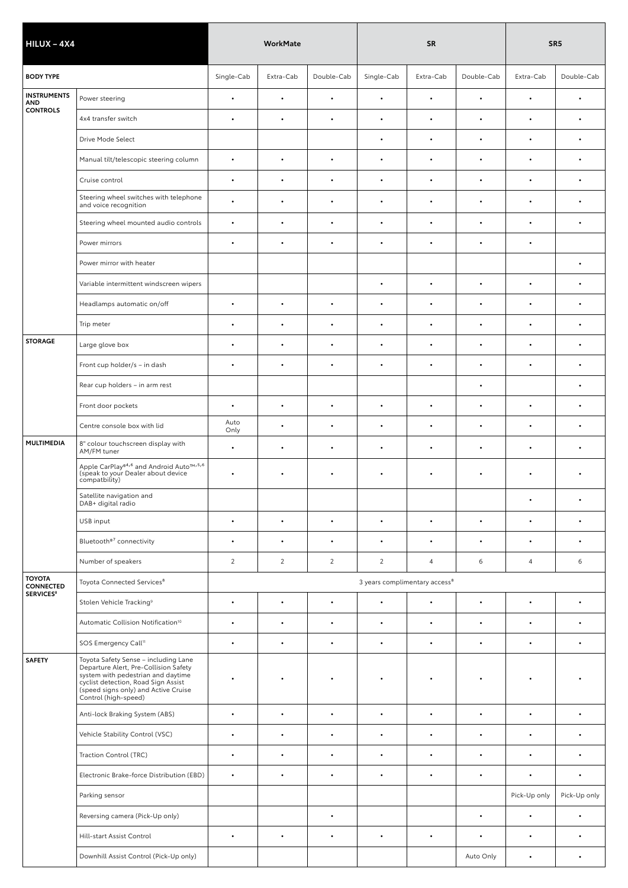| $HILUX - 4X4$                     |                                                                                                                                                                                                                            |                | <b>WorkMate</b> |                |                | <b>SR</b>                                 |            | SR <sub>5</sub> |              |  |
|-----------------------------------|----------------------------------------------------------------------------------------------------------------------------------------------------------------------------------------------------------------------------|----------------|-----------------|----------------|----------------|-------------------------------------------|------------|-----------------|--------------|--|
| <b>BODY TYPE</b>                  |                                                                                                                                                                                                                            | Single-Cab     | Extra-Cab       | Double-Cab     | Single-Cab     | Extra-Cab                                 | Double-Cab | Extra-Cab       | Double-Cab   |  |
| <b>INSTRUMENTS</b><br>AND         | Power steering                                                                                                                                                                                                             | $\bullet$      | $\bullet$       | $\bullet$      | $\bullet$      | $\bullet$                                 | $\bullet$  | $\bullet$       | $\bullet$    |  |
| <b>CONTROLS</b>                   | 4x4 transfer switch                                                                                                                                                                                                        | $\bullet$      | $\bullet$       | $\bullet$      | $\bullet$      | $\bullet$                                 | $\bullet$  | $\bullet$       | $\bullet$    |  |
|                                   | Drive Mode Select                                                                                                                                                                                                          |                |                 |                | $\bullet$      | $\bullet$                                 | ٠          | $\bullet$       | $\bullet$    |  |
|                                   | Manual tilt/telescopic steering column                                                                                                                                                                                     | $\bullet$      | $\bullet$       | $\bullet$      | $\bullet$      | $\bullet$                                 |            |                 | $\bullet$    |  |
|                                   | Cruise control                                                                                                                                                                                                             | $\bullet$      | $\bullet$       | $\bullet$      | $\bullet$      | $\bullet$                                 | ٠          | $\bullet$       | $\bullet$    |  |
|                                   | Steering wheel switches with telephone<br>and voice recognition                                                                                                                                                            | $\bullet$      | $\bullet$       | $\bullet$      | $\bullet$      | $\bullet$                                 | $\bullet$  | $\bullet$       | $\bullet$    |  |
|                                   | Steering wheel mounted audio controls                                                                                                                                                                                      | $\bullet$      | $\bullet$       | $\bullet$      | $\bullet$      | $\bullet$                                 | ٠          | $\bullet$       | $\bullet$    |  |
|                                   | Power mirrors                                                                                                                                                                                                              | $\bullet$      | $\bullet$       | $\bullet$      | $\bullet$      | $\bullet$                                 | ٠          | $\bullet$       |              |  |
|                                   | Power mirror with heater                                                                                                                                                                                                   |                |                 |                |                |                                           |            |                 | $\bullet$    |  |
|                                   | Variable intermittent windscreen wipers                                                                                                                                                                                    |                |                 |                | $\bullet$      | $\bullet$                                 | $\bullet$  | $\bullet$       | $\bullet$    |  |
|                                   | Headlamps automatic on/off                                                                                                                                                                                                 | $\bullet$      | $\bullet$       | $\bullet$      | $\bullet$      |                                           |            |                 | $\bullet$    |  |
|                                   | Trip meter                                                                                                                                                                                                                 | $\bullet$      | $\bullet$       | $\bullet$      | $\bullet$      | $\bullet$                                 |            |                 | $\bullet$    |  |
| <b>STORAGE</b>                    | Large glove box                                                                                                                                                                                                            | $\bullet$      | $\bullet$       | $\bullet$      | $\bullet$      | $\bullet$                                 | $\bullet$  | $\bullet$       | $\bullet$    |  |
|                                   | Front cup holder/s - in dash                                                                                                                                                                                               | $\bullet$      | $\bullet$       | $\bullet$      | $\bullet$      | $\bullet$                                 | $\bullet$  | $\bullet$       | $\bullet$    |  |
|                                   | Rear cup holders - in arm rest                                                                                                                                                                                             |                |                 |                |                |                                           | ٠          |                 | $\bullet$    |  |
|                                   | Front door pockets                                                                                                                                                                                                         | $\bullet$      | $\bullet$       | $\bullet$      | $\bullet$      | $\bullet$                                 | ٠          | $\bullet$       | $\bullet$    |  |
|                                   | Centre console box with lid                                                                                                                                                                                                | Auto<br>Only   | $\bullet$       | $\bullet$      | $\bullet$      | $\bullet$                                 | $\bullet$  | $\bullet$       | $\bullet$    |  |
| <b>MULTIMEDIA</b>                 | 8" colour touchscreen display with<br>AM/FM tuner                                                                                                                                                                          | $\bullet$      | $\bullet$       | $\bullet$      | $\bullet$      | $\bullet$                                 | $\bullet$  | $\bullet$       | $\bullet$    |  |
|                                   | Apple CarPlay <sup>®4,6</sup> and Android Auto <sup>1M, 5,6</sup><br>(speak to your Dealer about device<br>compatbility)                                                                                                   | $\bullet$      | $\bullet$       | $\bullet$      | $\bullet$      | $\bullet$                                 | $\bullet$  | $\bullet$       | $\bullet$    |  |
|                                   | Satellite navigation and<br>DAB+ digital radio                                                                                                                                                                             |                |                 |                |                |                                           |            |                 |              |  |
|                                   | USB input                                                                                                                                                                                                                  | $\bullet$      | $\bullet$       | $\bullet$      | $\bullet$      | $\bullet$                                 | $\bullet$  | $\bullet$       | $\bullet$    |  |
|                                   | Bluetooth®7 connectivity                                                                                                                                                                                                   | $\bullet$      | $\bullet$       | $\bullet$      | $\bullet$      | $\bullet$                                 | $\bullet$  | $\bullet$       | $\bullet$    |  |
|                                   | Number of speakers                                                                                                                                                                                                         | $\overline{2}$ | $\overline{2}$  | $\overline{2}$ | $\overline{2}$ | $\overline{4}$                            | 6          | $\overline{4}$  | 6            |  |
| <b>TOYOTA</b><br><b>CONNECTED</b> | Toyota Connected Services <sup>8</sup>                                                                                                                                                                                     |                |                 |                |                | 3 years complimentary access <sup>8</sup> |            |                 |              |  |
| <b>SERVICES<sup>8</sup></b>       | Stolen Vehicle Tracking <sup>9</sup>                                                                                                                                                                                       | $\bullet$      | $\bullet$       | $\bullet$      | $\bullet$      | $\bullet$                                 | $\bullet$  | $\bullet$       | $\bullet$    |  |
|                                   | Automatic Collision Notification <sup>10</sup>                                                                                                                                                                             | $\bullet$      | $\bullet$       | $\bullet$      | $\bullet$      | $\bullet$                                 | $\bullet$  | $\bullet$       | $\bullet$    |  |
|                                   | SOS Emergency Call <sup>11</sup>                                                                                                                                                                                           | $\bullet$      | $\bullet$       | $\bullet$      | $\bullet$      | $\bullet$                                 | $\bullet$  | $\bullet$       | $\bullet$    |  |
| <b>SAFETY</b>                     | Toyota Safety Sense - including Lane<br>Departure Alert, Pre-Collision Safety<br>system with pedestrian and daytime<br>cyclist detection, Road Sign Assist<br>(speed signs only) and Active Cruise<br>Control (high-speed) | $\bullet$      | ٠               |                |                |                                           |            |                 |              |  |
|                                   | Anti-lock Braking System (ABS)                                                                                                                                                                                             | $\bullet$      | $\bullet$       | $\bullet$      | $\bullet$      | $\bullet$                                 | $\bullet$  | $\bullet$       | $\bullet$    |  |
|                                   | Vehicle Stability Control (VSC)                                                                                                                                                                                            | $\bullet$      | $\bullet$       | $\bullet$      | $\bullet$      | $\bullet$                                 | $\bullet$  | $\bullet$       | $\bullet$    |  |
|                                   | Traction Control (TRC)                                                                                                                                                                                                     | $\bullet$      | $\bullet$       | $\bullet$      | $\bullet$      | $\bullet$                                 | $\bullet$  | $\bullet$       | $\bullet$    |  |
|                                   | Electronic Brake-force Distribution (EBD)                                                                                                                                                                                  | $\bullet$      | $\bullet$       | $\bullet$      | $\bullet$      | $\bullet$                                 | $\bullet$  | $\bullet$       | $\bullet$    |  |
|                                   | Parking sensor                                                                                                                                                                                                             |                |                 |                |                |                                           |            | Pick-Up only    | Pick-Up only |  |
|                                   | Reversing camera (Pick-Up only)                                                                                                                                                                                            |                |                 | $\bullet$      |                |                                           | $\bullet$  | $\bullet$       | $\bullet$    |  |
|                                   | Hill-start Assist Control                                                                                                                                                                                                  | $\bullet$      | $\bullet$       | $\bullet$      | $\bullet$      | $\bullet$                                 | $\bullet$  | $\bullet$       | $\bullet$    |  |
|                                   | Downhill Assist Control (Pick-Up only)                                                                                                                                                                                     |                |                 |                |                |                                           | Auto Only  | $\bullet$       | $\bullet$    |  |